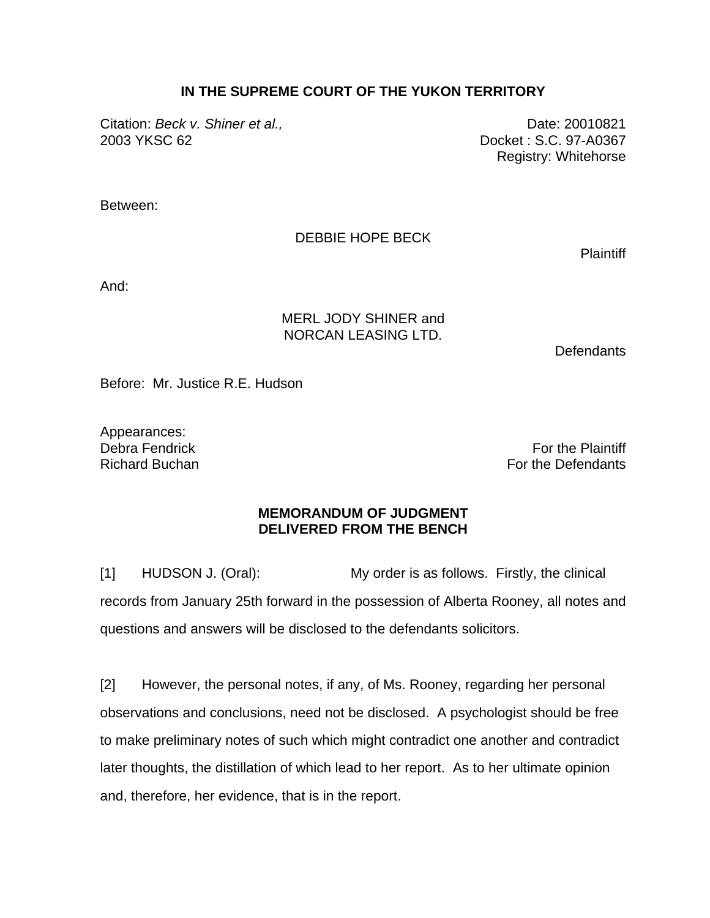## **IN THE SUPREME COURT OF THE YUKON TERRITORY**

Citation: *Beck v. Shiner et al.*, **Date: 20010821 Date: 20010821** 2003 YKSC 62 Docket : S.C. 97-A0367

Registry: Whitehorse

Between:

DEBBIE HOPE BECK

**Plaintiff** 

And:

## MERL JODY SHINER and NORCAN LEASING LTD.

**Defendants** 

Before: Mr. Justice R.E. Hudson

Appearances:

Debra Fendrick **For the Plaintiff** Section 2012 12:00 12:00 12:00 12:00 12:00 12:00 12:00 12:00 12:00 12:00 12:00 12:00 12:00 12:00 12:00 12:00 12:00 12:00 12:00 12:00 12:00 12:00 12:00 12:00 12:00 12:00 12:00 12:00 12:00 Richard Buchan For the Defendants **Richard Buchan** 

## **MEMORANDUM OF JUDGMENT DELIVERED FROM THE BENCH**

[1] HUDSON J. (Oral): My order is as follows. Firstly, the clinical records from January 25th forward in the possession of Alberta Rooney, all notes and questions and answers will be disclosed to the defendants solicitors.

[2] However, the personal notes, if any, of Ms. Rooney, regarding her personal observations and conclusions, need not be disclosed. A psychologist should be free to make preliminary notes of such which might contradict one another and contradict later thoughts, the distillation of which lead to her report. As to her ultimate opinion and, therefore, her evidence, that is in the report.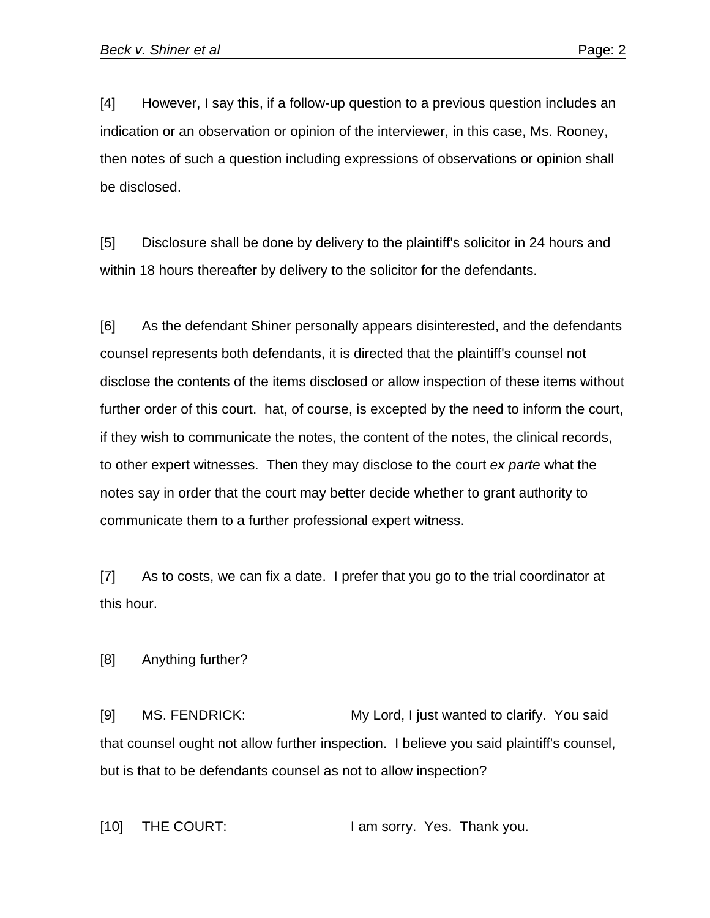[4] However, I say this, if a follow-up question to a previous question includes an indication or an observation or opinion of the interviewer, in this case, Ms. Rooney, then notes of such a question including expressions of observations or opinion shall be disclosed.

[5] Disclosure shall be done by delivery to the plaintiff's solicitor in 24 hours and within 18 hours thereafter by delivery to the solicitor for the defendants.

[6] As the defendant Shiner personally appears disinterested, and the defendants counsel represents both defendants, it is directed that the plaintiff's counsel not disclose the contents of the items disclosed or allow inspection of these items without further order of this court. hat, of course, is excepted by the need to inform the court, if they wish to communicate the notes, the content of the notes, the clinical records, to other expert witnesses. Then they may disclose to the court *ex parte* what the notes say in order that the court may better decide whether to grant authority to communicate them to a further professional expert witness.

[7] As to costs, we can fix a date. I prefer that you go to the trial coordinator at this hour.

[8] Anything further?

[9] MS. FENDRICK: My Lord, I just wanted to clarify. You said that counsel ought not allow further inspection. I believe you said plaintiff's counsel, but is that to be defendants counsel as not to allow inspection?

[10] THE COURT: I am sorry. Yes. Thank you.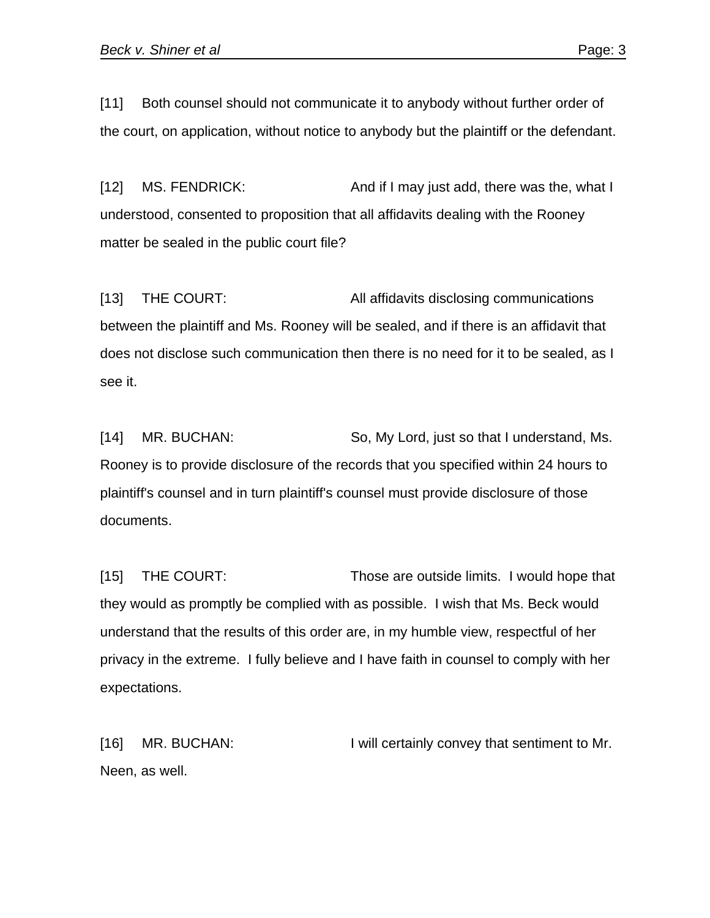[11] Both counsel should not communicate it to anybody without further order of the court, on application, without notice to anybody but the plaintiff or the defendant.

[12] MS. FENDRICK: And if I may just add, there was the, what I understood, consented to proposition that all affidavits dealing with the Rooney matter be sealed in the public court file?

[13] THE COURT: All affidavits disclosing communications between the plaintiff and Ms. Rooney will be sealed, and if there is an affidavit that does not disclose such communication then there is no need for it to be sealed, as I see it.

[14] MR. BUCHAN: So, My Lord, just so that I understand, Ms. Rooney is to provide disclosure of the records that you specified within 24 hours to plaintiff's counsel and in turn plaintiff's counsel must provide disclosure of those documents.

[15] THE COURT: Those are outside limits. I would hope that they would as promptly be complied with as possible. I wish that Ms. Beck would understand that the results of this order are, in my humble view, respectful of her privacy in the extreme. I fully believe and I have faith in counsel to comply with her expectations.

[16] MR. BUCHAN: I will certainly convey that sentiment to Mr. Neen, as well.